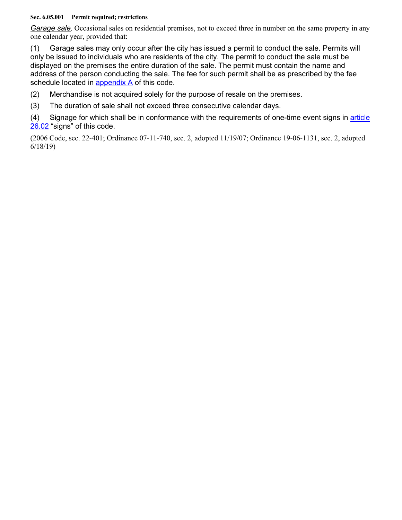## **Sec. 6.05.001 Permit required; restrictions**

*Garage sale*. Occasional sales on residential premises, not to exceed three in number on the same property in any one calendar year, provided that:

(1) Garage sales may only occur after the city has issued a permit to conduct the sale. Permits will only be issued to individuals who are residents of the city. The permit to conduct the sale must be displayed on the premises the entire duration of the sale. The permit must contain the name and address of the person conducting the sale. The fee for such permit shall be as prescribed by the fee schedule located in appendix A of this code.

(2) Merchandise is not acquired solely for the purpose of resale on the premises.

(3) The duration of sale shall not exceed three consecutive calendar days.

(4) Signage for which shall be in conformance with the requirements of one-time event signs in article 26.02 "signs" of this code.

(2006 Code, sec. 22-401; Ordinance 07-11-740, sec. 2, adopted 11/19/07; Ordinance 19-06-1131, sec. 2, adopted 6/18/19)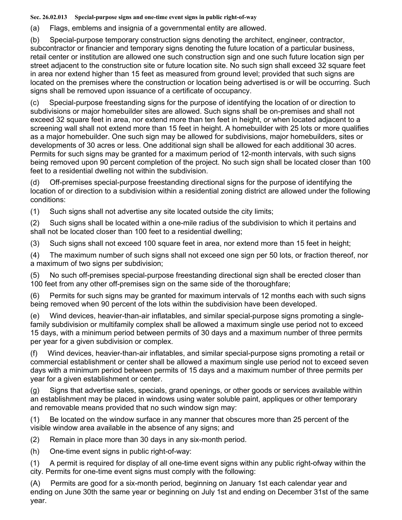**Sec. 26.02.013 Special-purpose signs and one-time event signs in public right-of-way**

(a) Flags, emblems and insignia of a governmental entity are allowed.

(b) Special-purpose temporary construction signs denoting the architect, engineer, contractor, subcontractor or financier and temporary signs denoting the future location of a particular business, retail center or institution are allowed one such construction sign and one such future location sign per street adjacent to the construction site or future location site. No such sign shall exceed 32 square feet in area nor extend higher than 15 feet as measured from ground level; provided that such signs are located on the premises where the construction or location being advertised is or will be occurring. Such signs shall be removed upon issuance of a certificate of occupancy.

(c) Special-purpose freestanding signs for the purpose of identifying the location of or direction to subdivisions or major homebuilder sites are allowed. Such signs shall be on-premises and shall not exceed 32 square feet in area, nor extend more than ten feet in height, or when located adjacent to a screening wall shall not extend more than 15 feet in height. A homebuilder with 25 lots or more qualifies as a major homebuilder. One such sign may be allowed for subdivisions, major homebuilders, sites or developments of 30 acres or less. One additional sign shall be allowed for each additional 30 acres. Permits for such signs may be granted for a maximum period of 12-month intervals, with such signs being removed upon 90 percent completion of the project. No such sign shall be located closer than 100 feet to a residential dwelling not within the subdivision.

(d) Off-premises special-purpose freestanding directional signs for the purpose of identifying the location of or direction to a subdivision within a residential zoning district are allowed under the following conditions:

(1) Such signs shall not advertise any site located outside the city limits;

(2) Such signs shall be located within a one-mile radius of the subdivision to which it pertains and shall not be located closer than 100 feet to a residential dwelling;

(3) Such signs shall not exceed 100 square feet in area, nor extend more than 15 feet in height;

(4) The maximum number of such signs shall not exceed one sign per 50 lots, or fraction thereof, nor a maximum of two signs per subdivision;

(5) No such off-premises special-purpose freestanding directional sign shall be erected closer than 100 feet from any other off-premises sign on the same side of the thoroughfare;

(6) Permits for such signs may be granted for maximum intervals of 12 months each with such signs being removed when 90 percent of the lots within the subdivision have been developed.

(e) Wind devices, heavier-than-air inflatables, and similar special-purpose signs promoting a singlefamily subdivision or multifamily complex shall be allowed a maximum single use period not to exceed 15 days, with a minimum period between permits of 30 days and a maximum number of three permits per year for a given subdivision or complex.

(f) Wind devices, heavier-than-air inflatables, and similar special-purpose signs promoting a retail or commercial establishment or center shall be allowed a maximum single use period not to exceed seven days with a minimum period between permits of 15 days and a maximum number of three permits per year for a given establishment or center.

(g) Signs that advertise sales, specials, grand openings, or other goods or services available within an establishment may be placed in windows using water soluble paint, appliques or other temporary and removable means provided that no such window sign may:

(1) Be located on the window surface in any manner that obscures more than 25 percent of the visible window area available in the absence of any signs; and

(2) Remain in place more than 30 days in any six-month period.

(h) One-time event signs in public right-of-way:

(1) A permit is required for display of all one-time event signs within any public right-ofway within the city. Permits for one-time event signs must comply with the following:

(A) Permits are good for a six-month period, beginning on January 1st each calendar year and ending on June 30th the same year or beginning on July 1st and ending on December 31st of the same year.